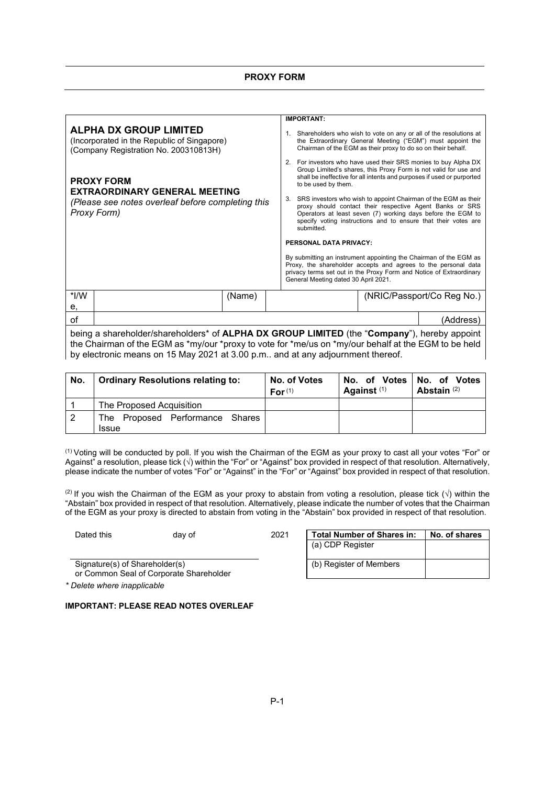|                                                                                                                               |        |  | <b>IMPORTANT:</b>                                                                                                                                                                                                                                                         |  |                                                                                                                                    |  |  |
|-------------------------------------------------------------------------------------------------------------------------------|--------|--|---------------------------------------------------------------------------------------------------------------------------------------------------------------------------------------------------------------------------------------------------------------------------|--|------------------------------------------------------------------------------------------------------------------------------------|--|--|
| <b>ALPHA DX GROUP LIMITED</b><br>(Incorporated in the Republic of Singapore)<br>(Company Registration No. 200310813H)         |        |  | Chairman of the EGM as their proxy to do so on their behalf.                                                                                                                                                                                                              |  | 1. Shareholders who wish to vote on any or all of the resolutions at<br>the Extraordinary General Meeting ("EGM") must appoint the |  |  |
| <b>PROXY FORM</b><br><b>EXTRAORDINARY GENERAL MEETING</b><br>(Please see notes overleaf before completing this<br>Proxy Form) |        |  | 2. For investors who have used their SRS monies to buy Alpha DX<br>Group Limited's shares, this Proxy Form is not valid for use and<br>shall be ineffective for all intents and purposes if used or purported<br>to be used by them.                                      |  |                                                                                                                                    |  |  |
|                                                                                                                               |        |  | SRS investors who wish to appoint Chairman of the EGM as their<br>proxy should contact their respective Agent Banks or SRS<br>Operators at least seven (7) working days before the EGM to<br>specify voting instructions and to ensure that their votes are<br>submitted. |  |                                                                                                                                    |  |  |
|                                                                                                                               |        |  | <b>PERSONAL DATA PRIVACY:</b>                                                                                                                                                                                                                                             |  |                                                                                                                                    |  |  |
|                                                                                                                               |        |  | By submitting an instrument appointing the Chairman of the EGM as<br>Proxy, the shareholder accepts and agrees to the personal data<br>privacy terms set out in the Proxy Form and Notice of Extraordinary<br>General Meeting dated 30 April 2021.                        |  |                                                                                                                                    |  |  |
| *I/W                                                                                                                          | (Name) |  |                                                                                                                                                                                                                                                                           |  | (NRIC/Passport/Co Reg No.)                                                                                                         |  |  |
| е,                                                                                                                            |        |  |                                                                                                                                                                                                                                                                           |  |                                                                                                                                    |  |  |
| οf                                                                                                                            |        |  |                                                                                                                                                                                                                                                                           |  | (Address)                                                                                                                          |  |  |
| being a shareholder/shareholders* of ALPHA DX GROUP LIMITED (the "Company"), hereby appoint                                   |        |  |                                                                                                                                                                                                                                                                           |  |                                                                                                                                    |  |  |

the Chairman of the EGM as \*my/our \*proxy to vote for \*me/us on \*my/our behalf at the EGM to be held by electronic means on 15 May 2021 at 3.00 p.m.. and at any adjournment thereof.

| No. | <b>Ordinary Resolutions relating to:</b>           | No. of Votes<br>For <sup>(1)</sup> | No. of Votes No. of Votes<br>Against $(1)$ | Abstain $(2)$ |
|-----|----------------------------------------------------|------------------------------------|--------------------------------------------|---------------|
|     | The Proposed Acquisition                           |                                    |                                            |               |
| 2   | Proposed Performance Shares<br>The<br><b>Issue</b> |                                    |                                            |               |

(1) Voting will be conducted by poll. If you wish the Chairman of the EGM as your proxy to cast all your votes "For" or Against" a resolution, please tick (√) within the "For" or "Against" box provided in respect of that resolution. Alternatively, please indicate the number of votes "For" or "Against" in the "For" or "Against" box provided in respect of that resolution.

(2) If you wish the Chairman of the EGM as your proxy to abstain from voting a resolution, please tick  $(\sqrt{})$  within the "Abstain" box provided in respect of that resolution. Alternatively, please indicate the number of votes that the Chairman of the EGM as your proxy is directed to abstain from voting in the "Abstain" box provided in respect of that resolution.

Dated this day of 2021 **Total Number of Shares in: No. of shares** (a) CDP Register (b) Register of Members

Signature(s) of Shareholder(s)

or Common Seal of Corporate Shareholder

*\* Delete where inapplicable*

# **IMPORTANT: PLEASE READ NOTES OVERLEAF**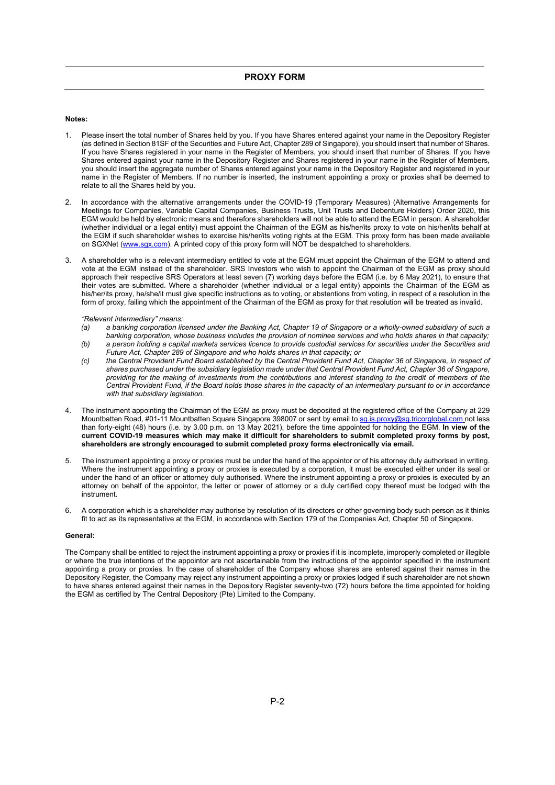### **Notes:**

- 1. Please insert the total number of Shares held by you. If you have Shares entered against your name in the Depository Register (as defined in Section 81SF of the Securities and Future Act, Chapter 289 of Singapore), you should insert that number of Shares. If you have Shares registered in your name in the Register of Members, you should insert that number of Shares. If you have Shares entered against your name in the Depository Register and Shares registered in your name in the Register of Members, you should insert the aggregate number of Shares entered against your name in the Depository Register and registered in your name in the Register of Members. If no number is inserted, the instrument appointing a proxy or proxies shall be deemed to relate to all the Shares held by you.
- 2. In accordance with the alternative arrangements under the COVID-19 (Temporary Measures) (Alternative Arrangements for Meetings for Companies, Variable Capital Companies, Business Trusts, Unit Trusts and Debenture Holders) Order 2020, this EGM would be held by electronic means and therefore shareholders will not be able to attend the EGM in person. A shareholder (whether individual or a legal entity) must appoint the Chairman of the EGM as his/her/its proxy to vote on his/her/its behalf at the EGM if such shareholder wishes to exercise his/her/its voting rights at the EGM. This proxy form has been made available on SGXNet (www.sgx.com). A printed copy of this proxy form will NOT be despatched to shareholders.
- 3. A shareholder who is a relevant intermediary entitled to vote at the EGM must appoint the Chairman of the EGM to attend and vote at the EGM instead of the shareholder. SRS Investors who wish to appoint the Chairman of the EGM as proxy should approach their respective SRS Operators at least seven (7) working days before the EGM (i.e. by 6 May 2021), to ensure that their votes are submitted. Where a shareholder (whether individual or a legal entity) appoints the Chairman of the EGM as his/her/its proxy, he/she/it must give specific instructions as to voting, or abstentions from voting, in respect of a resolution in the form of proxy, failing which the appointment of the Chairman of the EGM as proxy for that resolution will be treated as invalid.

#### *"Relevant intermediary" means:*

- *(a) a banking corporation licensed under the Banking Act, Chapter 19 of Singapore or a wholly-owned subsidiary of such a banking corporation, whose business includes the provision of nominee services and who holds shares in that capacity;*
- *(b) a person holding a capital markets services licence to provide custodial services for securities under the Securities and Future Act, Chapter 289 of Singapore and who holds shares in that capacity; or*
- *(c) the Central Provident Fund Board established by the Central Provident Fund Act, Chapter 36 of Singapore, in respect of shares purchased under the subsidiary legislation made under that Central Provident Fund Act, Chapter 36 of Singapore, providing for the making of investments from the contributions and interest standing to the credit of members of the Central Provident Fund, if the Board holds those shares in the capacity of an intermediary pursuant to or in accordance with that subsidiary legislation.*
- 4. The instrument appointing the Chairman of the EGM as proxy must be deposited at the registered office of the Company at 229 Mountbatten Road, #01-11 Mountbatten Square Singapore 398007 or sent by email to sq.is.proxy@sq.tricorglobal.com not less than forty-eight (48) hours (i.e. by 3.00 p.m. on 13 May 2021), before the time appointed for holding the EGM. **In view of the current COVID-19 measures which may make it difficult for shareholders to submit completed proxy forms by post, shareholders are strongly encouraged to submit completed proxy forms electronically via email.**
- 5. The instrument appointing a proxy or proxies must be under the hand of the appointor or of his attorney duly authorised in writing. Where the instrument appointing a proxy or proxies is executed by a corporation, it must be executed either under its seal or under the hand of an officer or attorney duly authorised. Where the instrument appointing a proxy or proxies is executed by an attorney on behalf of the appointor, the letter or power of attorney or a duly certified copy thereof must be lodged with the instrument.
- 6. A corporation which is a shareholder may authorise by resolution of its directors or other governing body such person as it thinks fit to act as its representative at the EGM, in accordance with Section 179 of the Companies Act, Chapter 50 of Singapore.

#### **General:**

The Company shall be entitled to reject the instrument appointing a proxy or proxies if it is incomplete, improperly completed or illegible or where the true intentions of the appointor are not ascertainable from the instructions of the appointor specified in the instrument appointing a proxy or proxies. In the case of shareholder of the Company whose shares are entered against their names in the Depository Register, the Company may reject any instrument appointing a proxy or proxies lodged if such shareholder are not shown to have shares entered against their names in the Depository Register seventy-two (72) hours before the time appointed for holding the EGM as certified by The Central Depository (Pte) Limited to the Company.